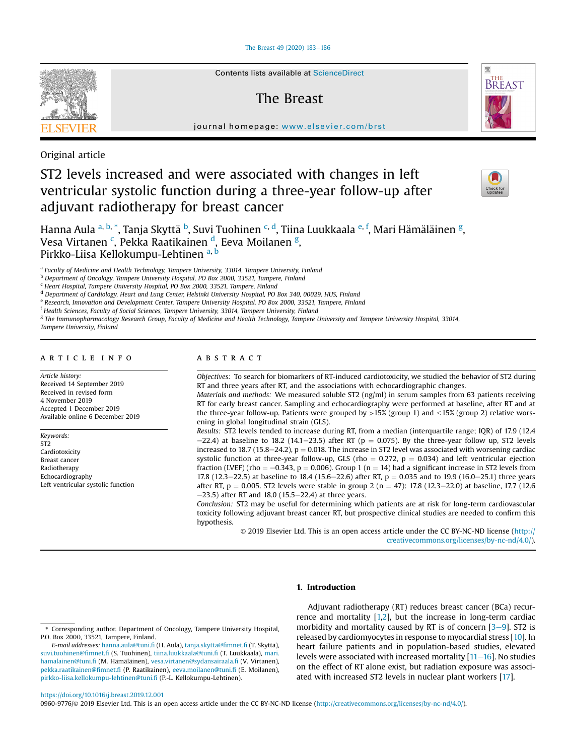## [The Breast 49 \(2020\) 183](https://doi.org/10.1016/j.breast.2019.12.001)-[186](https://doi.org/10.1016/j.breast.2019.12.001)



Contents lists available at ScienceDirect

## The Breast



journal homepage: [www.elsevier.com/brst](http://www.elsevier.com/brst)

Original article

# ST2 levels increased and were associated with changes in left ventricular systolic function during a three-year follow-up after adjuvant radiotherapy for breast cancer



Hanna Aula <sup>a, b,</sup> \*, Tanja Skyttä <sup>b</sup>, Suvi Tuohinen <sup>c, d</sup>, Tiina Luukkaala <sup>e, f</sup>, Mari Hämäläinen <sup>g</sup>, Vesa Virtanen <sup>c</sup>, Pekka Raatikainen <sup>d</sup>, Eeva Moilanen <sup>g</sup>, Pirkko-Liisa Kellokumpu-Lehtinen a, b

 $a$  Faculty of Medicine and Health Technology, Tampere University, 33014, Tampere University, Finland

b Department of Oncology, Tampere University Hospital, PO Box 2000, 33521, Tampere, Finland

<sup>c</sup> Heart Hospital, Tampere University Hospital, PO Box 2000, 33521, Tampere, Finland

<sup>d</sup> Department of Cardiology, Heart and Lung Center, Helsinki University Hospital, PO Box 340, 00029, HUS, Finland

<sup>e</sup> Research, Innovation and Development Center, Tampere University Hospital, PO Box 2000, 33521, Tampere, Finland

<sup>f</sup> Health Sciences, Faculty of Social Sciences, Tampere University, 33014, Tampere University, Finland

<sup>g</sup> The Immunopharmacology Research Group, Faculty of Medicine and Health Technology, Tampere University and Tampere University Hospital, 33014,

Tampere University, Finland

## article info

Article history: Received 14 September 2019 Received in revised form 4 November 2019 Accepted 1 December 2019 Available online 6 December 2019

Keywords: ST2 Cardiotoxicity Breast cancer Radiotherapy **Echocardiography** Left ventricular systolic function

## ABSTRACT

Objectives: To search for biomarkers of RT-induced cardiotoxicity, we studied the behavior of ST2 during RT and three years after RT, and the associations with echocardiographic changes.

Materials and methods: We measured soluble ST2 (ng/ml) in serum samples from 63 patients receiving RT for early breast cancer. Sampling and echocardiography were performed at baseline, after RT and at the three-year follow-up. Patients were grouped by  $>15\%$  (group 1) and  $\leq 15\%$  (group 2) relative worsening in global longitudinal strain (GLS).

Results: ST2 levels tended to increase during RT, from a median (interquartile range; IQR) of 17.9 (12.4  $-22.4$ ) at baseline to 18.2 (14.1–23.5) after RT (p = 0.075). By the three-year follow up, ST2 levels increased to 18.7 (15.8–24.2),  $p = 0.018$ . The increase in ST2 level was associated with worsening cardiac systolic function at three-year follow-up, GLS (rho = 0.272,  $p = 0.034$ ) and left ventricular ejection fraction (LVEF) (rho =  $-0.343$ , p = 0.006). Group 1 (n = 14) had a significant increase in ST2 levels from 17.8 (12.3–22.5) at baseline to 18.4 (15.6–22.6) after RT,  $p = 0.035$  and to 19.9 (16.0–25.1) three years after RT,  $p = 0.005$ . ST2 levels were stable in group 2 (n = 47): 17.8 (12.3–22.0) at baseline, 17.7 (12.6)  $-23.5$ ) after RT and 18.0 (15.5 $-22.4$ ) at three years.

Conclusion: ST2 may be useful for determining which patients are at risk for long-term cardiovascular toxicity following adjuvant breast cancer RT, but prospective clinical studies are needed to confirm this hypothesis.

© 2019 Elsevier Ltd. This is an open access article under the CC BY-NC-ND license [\(http://](http://creativecommons.org/licenses/by-nc-nd/4.0/) [creativecommons.org/licenses/by-nc-nd/4.0/](http://creativecommons.org/licenses/by-nc-nd/4.0/)).

## 1. Introduction

Adjuvant radiotherapy (RT) reduces breast cancer (BCa) recurrence and mortality [[1,2\]](#page-3-0), but the increase in long-term cardiac morbidity and mortality caused by RT is of concern  $[3-9]$  $[3-9]$  $[3-9]$  $[3-9]$ . ST2 is released by cardiomyocytes in response to myocardial stress [[10\]](#page-3-0). In heart failure patients and in population-based studies, elevated levels were associated with increased mortality  $[11-16]$  $[11-16]$  $[11-16]$  $[11-16]$ . No studies on the effect of RT alone exist, but radiation exposure was associated with increased ST2 levels in nuclear plant workers [[17](#page-3-0)].

<https://doi.org/10.1016/j.breast.2019.12.001>

0960-9776/© 2019 Elsevier Ltd. This is an open access article under the CC BY-NC-ND license [\(http://creativecommons.org/licenses/by-nc-nd/4.0/\)](http://creativecommons.org/licenses/by-nc-nd/4.0/).

<sup>\*</sup> Corresponding author. Department of Oncology, Tampere University Hospital, P.O. Box 2000, 33521, Tampere, Finland.

E-mail addresses: [hanna.aula@tuni.](mailto:hanna.aula@tuni.fi)fi (H. Aula), [tanja.skytta@](mailto:tanja.skytta@fimnet.fi)fimnet.fi (T. Skyttä), [suvi.tuohinen@](mailto:suvi.tuohinen@fimnet.fi)fimnet.fi (S. Tuohinen), [tiina.luukkaala@tuni.](mailto:tiina.luukkaala@tuni.fi)fi (T. Luukkaala), [mari.](mailto:mari.hamalainen@tuni.fi) [hamalainen@tuni.](mailto:mari.hamalainen@tuni.fi)fi (M. Hämäläinen), [vesa.virtanen@sydansairaala.](mailto:vesa.virtanen@sydansairaala.fi)fi (V. Virtanen), [pekka.raatikainen@](mailto:pekka.raatikainen@fimnet.fi)fimnet.fi (P. Raatikainen), [eeva.moilanen@tuni.](mailto:eeva.moilanen@tuni.fi)fi (E. Moilanen), [pirkko-liisa.kellokumpu-lehtinen@tuni.](mailto:pirkko-liisa.kellokumpu-lehtinen@tuni.fi)fi (P.-L. Kellokumpu-Lehtinen).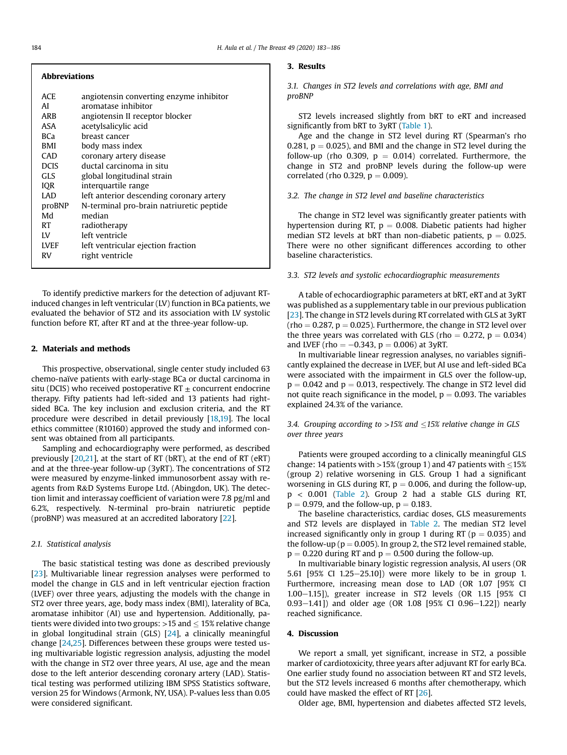| <b>Abbreviations</b> |                                          |  |  |  |  |  |
|----------------------|------------------------------------------|--|--|--|--|--|
| ACE                  | angiotensin converting enzyme inhibitor  |  |  |  |  |  |
| AI                   | aromatase inhibitor                      |  |  |  |  |  |
| ARB                  | angiotensin II receptor blocker          |  |  |  |  |  |
| ASA                  | acetylsalicylic acid                     |  |  |  |  |  |
| <b>BCa</b>           | breast cancer                            |  |  |  |  |  |
| BMI                  | body mass index                          |  |  |  |  |  |
| CAD                  | coronary artery disease                  |  |  |  |  |  |
| <b>DCIS</b>          | ductal carcinoma in situ                 |  |  |  |  |  |
| <b>GLS</b>           | global longitudinal strain               |  |  |  |  |  |
| <b>IOR</b>           | interquartile range                      |  |  |  |  |  |
| LAD                  | left anterior descending coronary artery |  |  |  |  |  |
| proBNP               | N-terminal pro-brain natriuretic peptide |  |  |  |  |  |
| Md                   | median                                   |  |  |  |  |  |
| RT                   | radiotherapy                             |  |  |  |  |  |
| LV                   | left ventricle                           |  |  |  |  |  |
| <b>LVEF</b>          | left ventricular ejection fraction       |  |  |  |  |  |
| RV                   | right ventricle                          |  |  |  |  |  |
|                      |                                          |  |  |  |  |  |

To identify predictive markers for the detection of adjuvant RTinduced changes in left ventricular (LV) function in BCa patients, we evaluated the behavior of ST2 and its association with LV systolic function before RT, after RT and at the three-year follow-up.

## 2. Materials and methods

This prospective, observational, single center study included 63 chemo-naïve patients with early-stage BCa or ductal carcinoma in situ (DCIS) who received postoperative RT  $\pm$  concurrent endocrine therapy. Fifty patients had left-sided and 13 patients had rightsided BCa. The key inclusion and exclusion criteria, and the RT procedure were described in detail previously [[18,19\]](#page-3-0). The local ethics committee (R10160) approved the study and informed consent was obtained from all participants.

Sampling and echocardiography were performed, as described previously [[20,21](#page-3-0)], at the start of RT (bRT), at the end of RT (eRT) and at the three-year follow-up (3yRT). The concentrations of ST2 were measured by enzyme-linked immunosorbent assay with reagents from R&D Systems Europe Ltd. (Abingdon, UK). The detection limit and interassay coefficient of variation were 7.8 pg/ml and 6.2%, respectively. N-terminal pro-brain natriuretic peptide (proBNP) was measured at an accredited laboratory [\[22\]](#page-3-0).

## 2.1. Statistical analysis

The basic statistical testing was done as described previously [[23](#page-3-0)]. Multivariable linear regression analyses were performed to model the change in GLS and in left ventricular ejection fraction (LVEF) over three years, adjusting the models with the change in ST2 over three years, age, body mass index (BMI), laterality of BCa, aromatase inhibitor (AI) use and hypertension. Additionally, patients were divided into two groups:  $>15$  and  $\leq 15\%$  relative change in global longitudinal strain (GLS) [[24](#page-3-0)], a clinically meaningful change [\[24,25\]](#page-3-0). Differences between these groups were tested using multivariable logistic regression analysis, adjusting the model with the change in ST2 over three years, AI use, age and the mean dose to the left anterior descending coronary artery (LAD). Statistical testing was performed utilizing IBM SPSS Statistics software, version 25 for Windows (Armonk, NY, USA). P-values less than 0.05 were considered significant.

#### 3. Results

3.1. Changes in ST2 levels and correlations with age, BMI and proBNP

ST2 levels increased slightly from bRT to eRT and increased significantly from bRT to 3yRT [\(Table 1](#page-2-0)).

Age and the change in ST2 level during RT (Spearman's rho 0.281,  $p = 0.025$ ), and BMI and the change in ST2 level during the follow-up (rho 0.309,  $p = 0.014$ ) correlated. Furthermore, the change in ST2 and proBNP levels during the follow-up were correlated (rho 0.329,  $p = 0.009$ ).

#### 3.2. The change in ST2 level and baseline characteristics

The change in ST2 level was significantly greater patients with hypertension during RT,  $p = 0.008$ . Diabetic patients had higher median ST2 levels at bRT than non-diabetic patients,  $p = 0.025$ . There were no other significant differences according to other baseline characteristics.

## 3.3. ST2 levels and systolic echocardiographic measurements

A table of echocardiographic parameters at bRT, eRT and at 3yRT was published as a supplementary table in our previous publication [[23](#page-3-0)]. The change in ST2 levels during RT correlated with GLS at 3yRT (rho  $= 0.287$ ,  $p = 0.025$ ). Furthermore, the change in ST2 level over the three years was correlated with GLS (rho  $= 0.272$ , p  $= 0.034$ ) and LVEF (rho  $= -0.343$ ,  $p = 0.006$ ) at 3yRT.

In multivariable linear regression analyses, no variables significantly explained the decrease in LVEF, but AI use and left-sided BCa were associated with the impairment in GLS over the follow-up,  $p = 0.042$  and  $p = 0.013$ , respectively. The change in ST2 level did not quite reach significance in the model,  $p = 0.093$ . The variables explained 24.3% of the variance.

## 3.4. Grouping according to  $>15\%$  and  $\leq$ 15% relative change in GLS over three years

Patients were grouped according to a clinically meaningful GLS change: 14 patients with >15% (group 1) and 47 patients with  $\leq$ 15% (group 2) relative worsening in GLS. Group 1 had a significant worsening in GLS during RT,  $p = 0.006$ , and during the follow-up, p < 0.001 [\(Table 2](#page-2-0)). Group 2 had a stable GLS during RT,  $p = 0.979$ , and the follow-up,  $p = 0.183$ .

The baseline characteristics, cardiac doses, GLS measurements and ST2 levels are displayed in [Table 2](#page-2-0). The median ST2 level increased significantly only in group 1 during RT ( $p = 0.035$ ) and the follow-up ( $p = 0.005$ ). In group 2, the ST2 level remained stable,  $p = 0.220$  during RT and  $p = 0.500$  during the follow-up.

In multivariable binary logistic regression analysis, AI users (OR 5.61 [95% CI 1.25-25.10]) were more likely to be in group 1. Furthermore, increasing mean dose to LAD (OR 1.07 [95% CI 1.00 $-1.15$ ]), greater increase in ST2 levels (OR 1.15 [95% CI  $0.93-1.41$ ]) and older age (OR 1.08 [95% CI 0.96-1.22]) nearly reached significance.

## 4. Discussion

We report a small, yet significant, increase in ST2, a possible marker of cardiotoxicity, three years after adjuvant RT for early BCa. One earlier study found no association between RT and ST2 levels, but the ST2 levels increased 6 months after chemotherapy, which could have masked the effect of RT [\[26\]](#page-3-0).

Older age, BMI, hypertension and diabetes affected ST2 levels,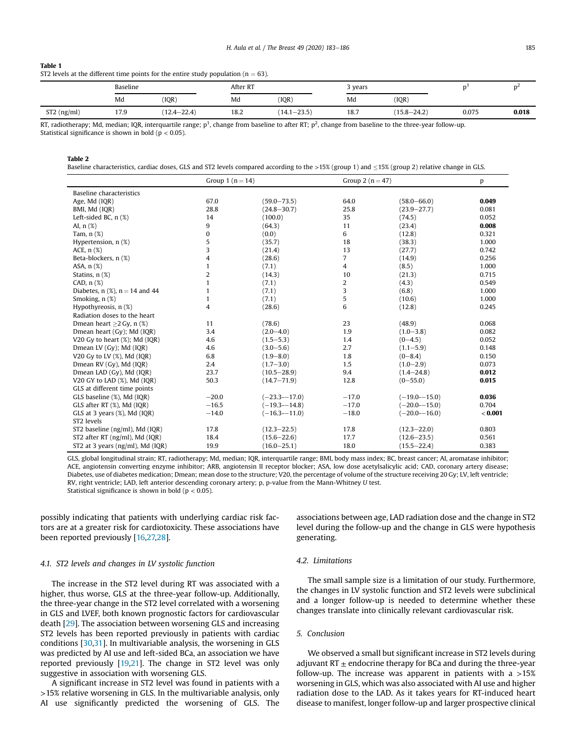#### <span id="page-2-0"></span>Table 1 ST2 levels at the different time points for the entire study population ( $n = 63$ ).

|               | Baseline |                 | After RT<br>the contract of the contract of the contract of the contract of the contract of |                 | 3 years |                 |       |       |
|---------------|----------|-----------------|---------------------------------------------------------------------------------------------|-----------------|---------|-----------------|-------|-------|
|               | Md       | (IQR)           | Md                                                                                          | (IOR)           | Md      | (IQR)           |       |       |
| $ST2$ (ng/ml) | 17.9     | $(12.4 - 22.4)$ | 18.2                                                                                        | $(14.1 - 23.5)$ | 18.7    | $(15.8 - 24.2)$ | 0.075 | 0.018 |

RT, radiotherapy; Md, median; IQR, interquartile range;  $p^1$ , change from baseline to after RT;  $p^2$ , change from baseline to the three-year follow-up. Statistical significance is shown in bold ( $p < 0.05$ ).

Table 2

| Baseline characteristics, cardiac doses, GLS and ST2 levels compared according to the >15% (group 1) and ≤15% (group 2) relative change in GLS. |
|-------------------------------------------------------------------------------------------------------------------------------------------------|
|-------------------------------------------------------------------------------------------------------------------------------------------------|

|                                          | Group 1 $(n = 14)$ |                  | Group 2 $(n=47)$ |                  | p       |
|------------------------------------------|--------------------|------------------|------------------|------------------|---------|
| <b>Baseline characteristics</b>          |                    |                  |                  |                  |         |
| Age, Md (IQR)                            | 67.0               | $(59.0 - 73.5)$  | 64.0             | $(58.0 - 66.0)$  | 0.049   |
| BMI, Md (IQR)                            | 28.8               | $(24.8 - 30.7)$  | 25.8             | $(23.9 - 27.7)$  | 0.081   |
| Left-sided BC, $n$ $(\%)$                | 14                 | (100.0)          | 35               | (74.5)           | 0.052   |
| AI, $n$ $(\%)$                           | 9                  | (64.3)           | 11               | (23.4)           | 0.008   |
| Tam, $n$ $(\%)$                          | 0                  | (0.0)            | 6                | (12.8)           | 0.321   |
| Hypertension, $n$ $(\%)$                 | 5                  | (35.7)           | 18               | (38.3)           | 1.000   |
| ACE, $n$ $(\%)$                          | 3                  | (21.4)           | 13               | (27.7)           | 0.742   |
| Beta-blockers, n (%)                     | 4                  | (28.6)           | $\overline{7}$   | (14.9)           | 0.256   |
| ASA, n (%)                               | 1                  | (7.1)            | 4                | (8.5)            | 1.000   |
| Statins, n (%)                           | $\overline{2}$     | (14.3)           | 10               | (21.3)           | 0.715   |
| CAD, $n$ $(\%)$                          | $\mathbf{1}$       | (7.1)            | 2                | (4.3)            | 0.549   |
| Diabetes, $n$ (%), $n = 14$ and 44       | 1                  | (7.1)            | 3                | (6.8)            | 1.000   |
| Smoking, n (%)                           | 1                  | (7.1)            | 5                | (10.6)           | 1.000   |
| Hypothyreosis, n (%)                     | 4                  | (28.6)           | 6                | (12.8)           | 0.245   |
| Radiation doses to the heart             |                    |                  |                  |                  |         |
| Dmean heart $>2$ Gy, n $(\%)$            | 11                 | (78.6)           | 23               | (48.9)           | 0.068   |
| Dmean heart (Gy); Md (IQR)               | 3.4                | $(2.0 - 4.0)$    | 1.9              | $(1.0 - 3.8)$    | 0.082   |
| V20 Gy to heart $(\%)$ ; Md $(IQR)$      | 4.6                | $(1.5 - 5.3)$    | 1.4              | $(0-4.5)$        | 0.052   |
| Dmean LV (Gy); Md (IQR)                  | 4.6                | $(3.0 - 5.6)$    | 2.7              | $(1.1 - 5.9)$    | 0.148   |
| V20 Gy to LV (%), Md (IQR)               | 6.8                | $(1.9 - 8.0)$    | 1.8              | $(0-8.4)$        | 0.150   |
| Dmean RV (Gy), Md (IQR)                  | 2.4                | $(1.7 - 3.0)$    | 1.5              | $(1.0 - 2.9)$    | 0.073   |
| Dmean LAD (Gy), Md (IQR)                 | 23.7               | $(10.5 - 28.9)$  | 9.4              | $(1.4 - 24.8)$   | 0.012   |
| V20 GY to LAD (%), Md (IQR)              | 50.3               | $(14.7 - 71.9)$  | 12.8             | $(0 - 55.0)$     | 0.015   |
| GLS at different time points             |                    |                  |                  |                  |         |
| GLS baseline (%), Md (IQR)               | $-20.0$            | $(-23.3 - 17.0)$ | $-17.0$          | $(-19.0 - 15.0)$ | 0.036   |
| GLS after RT (%), Md (IQR)               | $-16.5$            | $(-19.3 - 14.8)$ | $-17.0$          | $(-20.0 - 15.0)$ | 0.704   |
| GLS at 3 years (%), Md (IQR)             | $-14.0$            | $(-16.3 - 11.0)$ | $-18.0$          | $(-20.0 - 16.0)$ | < 0.001 |
| ST2 levels                               |                    |                  |                  |                  |         |
| ST2 baseline (ng/ml), Md (IQR)           | 17.8               | $(12.3 - 22.5)$  | 17.8             | $(12.3 - 22.0)$  | 0.803   |
| ST2 after RT (ng/ml), Md (IQR)           | 18.4               | $(15.6 - 22.6)$  | 17.7             | $(12.6 - 23.5)$  | 0.561   |
| ST2 at 3 years ( $ng/ml$ ), Md ( $IQR$ ) | 19.9               | $(16.0 - 25.1)$  | 18.0             | $(15.5 - 22.4)$  | 0.383   |

GLS, global longitudinal strain; RT, radiotherapy; Md, median; IQR, interquartile range; BMI, body mass index; BC, breast cancer; AI, aromatase inhibitor; ACE, angiotensin converting enzyme inhibitor; ARB, angiotensin II receptor blocker; ASA, low dose acetylsalicylic acid; CAD, coronary artery disease; Diabetes, use of diabetes medication; Dmean; mean dose to the structure; V20, the percentage of volume of the structure receiving 20 Gy; LV, left ventricle; RV, right ventricle; LAD, left anterior descending coronary artery; p, p-value from the Mann-Whitney U test. Statistical significance is shown in bold ( $p < 0.05$ ).

possibly indicating that patients with underlying cardiac risk factors are at a greater risk for cardiotoxicity. These associations have been reported previously [\[16,27,28](#page-3-0)].

## 4.1. ST2 levels and changes in LV systolic function

The increase in the ST2 level during RT was associated with a higher, thus worse, GLS at the three-year follow-up. Additionally, the three-year change in the ST2 level correlated with a worsening in GLS and LVEF, both known prognostic factors for cardiovascular death [\[29\]](#page-3-0). The association between worsening GLS and increasing ST2 levels has been reported previously in patients with cardiac conditions [[30](#page-3-0),[31](#page-3-0)]. In multivariable analysis, the worsening in GLS was predicted by AI use and left-sided BCa, an association we have reported previously [[19,21\]](#page-3-0). The change in ST2 level was only suggestive in association with worsening GLS.

A significant increase in ST2 level was found in patients with a >15% relative worsening in GLS. In the multivariable analysis, only AI use significantly predicted the worsening of GLS. The associations between age, LAD radiation dose and the change in ST2 level during the follow-up and the change in GLS were hypothesis generating.

## 4.2. Limitations

The small sample size is a limitation of our study. Furthermore, the changes in LV systolic function and ST2 levels were subclinical and a longer follow-up is needed to determine whether these changes translate into clinically relevant cardiovascular risk.

## 5. Conclusion

We observed a small but significant increase in ST2 levels during adjuvant RT  $\pm$  endocrine therapy for BCa and during the three-year follow-up. The increase was apparent in patients with a  $>15\%$ worsening in GLS, which was also associated with AI use and higher radiation dose to the LAD. As it takes years for RT-induced heart disease to manifest, longer follow-up and larger prospective clinical